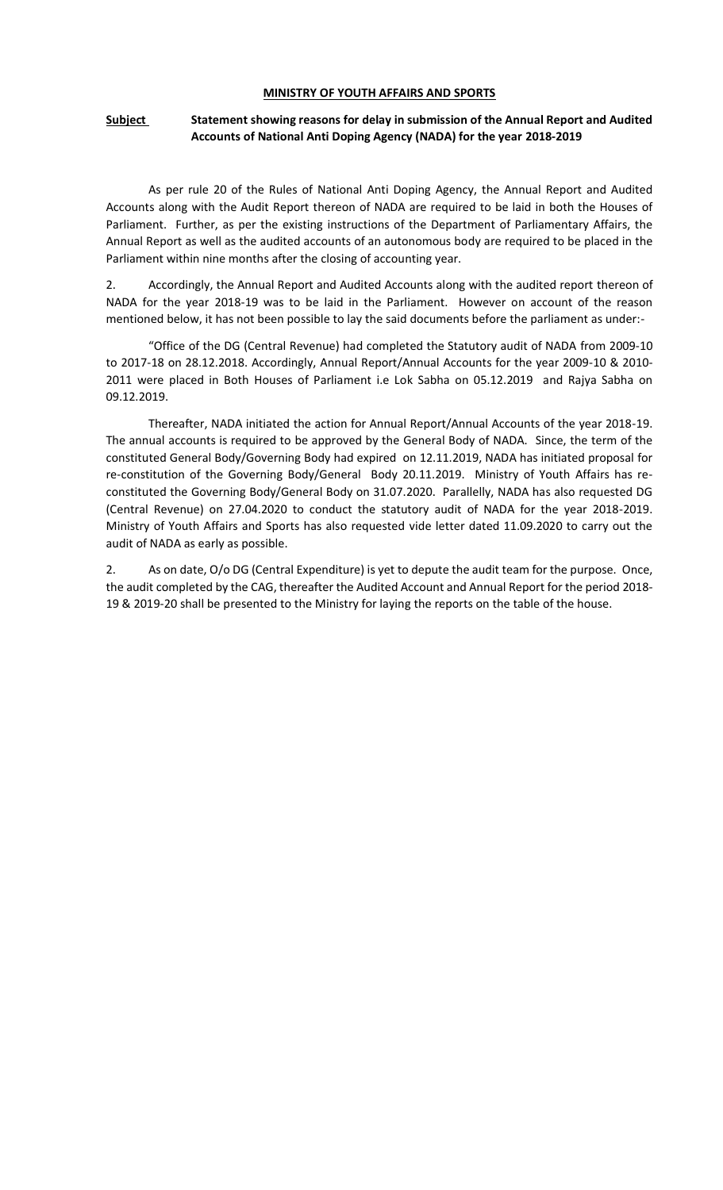#### **MINISTRY OF YOUTH AFFAIRS AND SPORTS**

#### **Subject** Statement showing reasons for delay in submission of the Annual Report and Audited **Accounts of National Anti Doping Agency (NADA) for the year 2018-2019**

As per rule 20 of the Rules of National Anti Doping Agency, the Annual Report and Audited Accounts along with the Audit Report thereon of NADA are required to be laid in both the Houses of Parliament. Further, as per the existing instructions of the Department of Parliamentary Affairs, the Annual Report as well as the audited accounts of an autonomous body are required to be placed in the Parliament within nine months after the closing of accounting year.

2. Accordingly, the Annual Report and Audited Accounts along with the audited report thereon of NADA for the year 2018-19 was to be laid in the Parliament. However on account of the reason mentioned below, it has not been possible to lay the said documents before the parliament as under:-

"Office of the DG (Central Revenue) had completed the Statutory audit of NADA from 2009-10 to 2017-18 on 28.12.2018. Accordingly, Annual Report/Annual Accounts for the year 2009-10 & 2010- 2011 were placed in Both Houses of Parliament i.e Lok Sabha on 05.12.2019 and Rajya Sabha on 09.12.2019.

Thereafter, NADA initiated the action for Annual Report/Annual Accounts of the year 2018-19. The annual accounts is required to be approved by the General Body of NADA. Since, the term of the constituted General Body/Governing Body had expired on 12.11.2019, NADA has initiated proposal for re-constitution of the Governing Body/General Body 20.11.2019. Ministry of Youth Affairs has reconstituted the Governing Body/General Body on 31.07.2020. Parallelly, NADA has also requested DG (Central Revenue) on 27.04.2020 to conduct the statutory audit of NADA for the year 2018-2019. Ministry of Youth Affairs and Sports has also requested vide letter dated 11.09.2020 to carry out the audit of NADA as early as possible.

2. As on date, O/o DG (Central Expenditure) is yet to depute the audit team for the purpose. Once, the audit completed by the CAG, thereafter the Audited Account and Annual Report for the period 2018- 19 & 2019-20 shall be presented to the Ministry for laying the reports on the table of the house.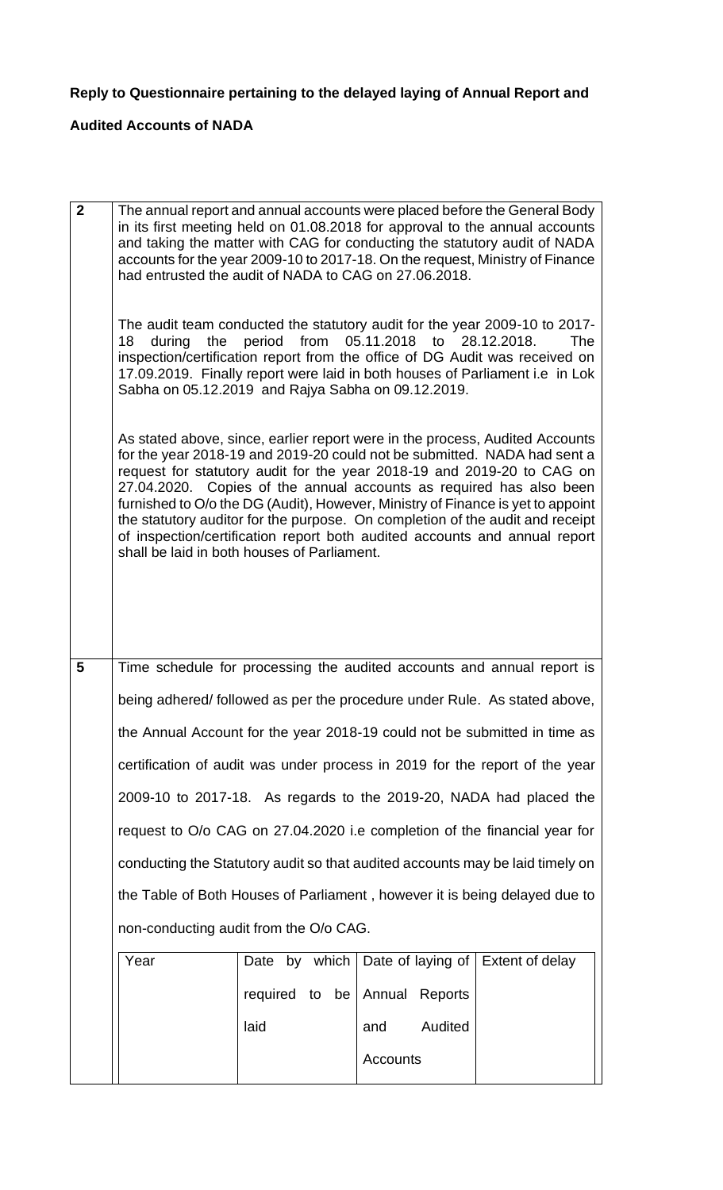# **Reply to Questionnaire pertaining to the delayed laying of Annual Report and**

# **Audited Accounts of NADA**

| $\overline{2}$ | had entrusted the audit of NADA to CAG on 27.06.2018.<br>18<br>Sabha on 05.12.2019 and Rajya Sabha on 09.12.2019.<br>shall be laid in both houses of Parliament. | during the period from 05.11.2018 to 28.12.2018. |                   | The annual report and annual accounts were placed before the General Body<br>in its first meeting held on 01.08.2018 for approval to the annual accounts<br>and taking the matter with CAG for conducting the statutory audit of NADA<br>accounts for the year 2009-10 to 2017-18. On the request, Ministry of Finance<br>The audit team conducted the statutory audit for the year 2009-10 to 2017-<br>The<br>inspection/certification report from the office of DG Audit was received on<br>17.09.2019. Finally report were laid in both houses of Parliament i.e in Lok<br>As stated above, since, earlier report were in the process, Audited Accounts<br>for the year 2018-19 and 2019-20 could not be submitted. NADA had sent a<br>request for statutory audit for the year 2018-19 and 2019-20 to CAG on<br>27.04.2020. Copies of the annual accounts as required has also been<br>furnished to O/o the DG (Audit), However, Ministry of Finance is yet to appoint<br>the statutory auditor for the purpose. On completion of the audit and receipt<br>of inspection/certification report both audited accounts and annual report |  |  |
|----------------|------------------------------------------------------------------------------------------------------------------------------------------------------------------|--------------------------------------------------|-------------------|-------------------------------------------------------------------------------------------------------------------------------------------------------------------------------------------------------------------------------------------------------------------------------------------------------------------------------------------------------------------------------------------------------------------------------------------------------------------------------------------------------------------------------------------------------------------------------------------------------------------------------------------------------------------------------------------------------------------------------------------------------------------------------------------------------------------------------------------------------------------------------------------------------------------------------------------------------------------------------------------------------------------------------------------------------------------------------------------------------------------------------------------|--|--|
| 5              |                                                                                                                                                                  |                                                  |                   | Time schedule for processing the audited accounts and annual report is                                                                                                                                                                                                                                                                                                                                                                                                                                                                                                                                                                                                                                                                                                                                                                                                                                                                                                                                                                                                                                                                    |  |  |
|                |                                                                                                                                                                  |                                                  |                   |                                                                                                                                                                                                                                                                                                                                                                                                                                                                                                                                                                                                                                                                                                                                                                                                                                                                                                                                                                                                                                                                                                                                           |  |  |
|                | being adhered/ followed as per the procedure under Rule. As stated above,<br>the Annual Account for the year 2018-19 could not be submitted in time as           |                                                  |                   |                                                                                                                                                                                                                                                                                                                                                                                                                                                                                                                                                                                                                                                                                                                                                                                                                                                                                                                                                                                                                                                                                                                                           |  |  |
|                | certification of audit was under process in 2019 for the report of the year                                                                                      |                                                  |                   |                                                                                                                                                                                                                                                                                                                                                                                                                                                                                                                                                                                                                                                                                                                                                                                                                                                                                                                                                                                                                                                                                                                                           |  |  |
|                | 2009-10 to 2017-18. As regards to the 2019-20, NADA had placed the                                                                                               |                                                  |                   |                                                                                                                                                                                                                                                                                                                                                                                                                                                                                                                                                                                                                                                                                                                                                                                                                                                                                                                                                                                                                                                                                                                                           |  |  |
|                | request to O/o CAG on 27.04.2020 i.e completion of the financial year for                                                                                        |                                                  |                   |                                                                                                                                                                                                                                                                                                                                                                                                                                                                                                                                                                                                                                                                                                                                                                                                                                                                                                                                                                                                                                                                                                                                           |  |  |
|                | conducting the Statutory audit so that audited accounts may be laid timely on                                                                                    |                                                  |                   |                                                                                                                                                                                                                                                                                                                                                                                                                                                                                                                                                                                                                                                                                                                                                                                                                                                                                                                                                                                                                                                                                                                                           |  |  |
|                | the Table of Both Houses of Parliament, however it is being delayed due to                                                                                       |                                                  |                   |                                                                                                                                                                                                                                                                                                                                                                                                                                                                                                                                                                                                                                                                                                                                                                                                                                                                                                                                                                                                                                                                                                                                           |  |  |
|                | non-conducting audit from the O/o CAG.                                                                                                                           |                                                  |                   |                                                                                                                                                                                                                                                                                                                                                                                                                                                                                                                                                                                                                                                                                                                                                                                                                                                                                                                                                                                                                                                                                                                                           |  |  |
|                | Year                                                                                                                                                             | by which<br>Date                                 | Date of laying of | Extent of delay                                                                                                                                                                                                                                                                                                                                                                                                                                                                                                                                                                                                                                                                                                                                                                                                                                                                                                                                                                                                                                                                                                                           |  |  |
|                |                                                                                                                                                                  | required to be                                   | Annual<br>Reports |                                                                                                                                                                                                                                                                                                                                                                                                                                                                                                                                                                                                                                                                                                                                                                                                                                                                                                                                                                                                                                                                                                                                           |  |  |
|                |                                                                                                                                                                  | laid                                             | Audited<br>and    |                                                                                                                                                                                                                                                                                                                                                                                                                                                                                                                                                                                                                                                                                                                                                                                                                                                                                                                                                                                                                                                                                                                                           |  |  |
|                |                                                                                                                                                                  |                                                  | <b>Accounts</b>   |                                                                                                                                                                                                                                                                                                                                                                                                                                                                                                                                                                                                                                                                                                                                                                                                                                                                                                                                                                                                                                                                                                                                           |  |  |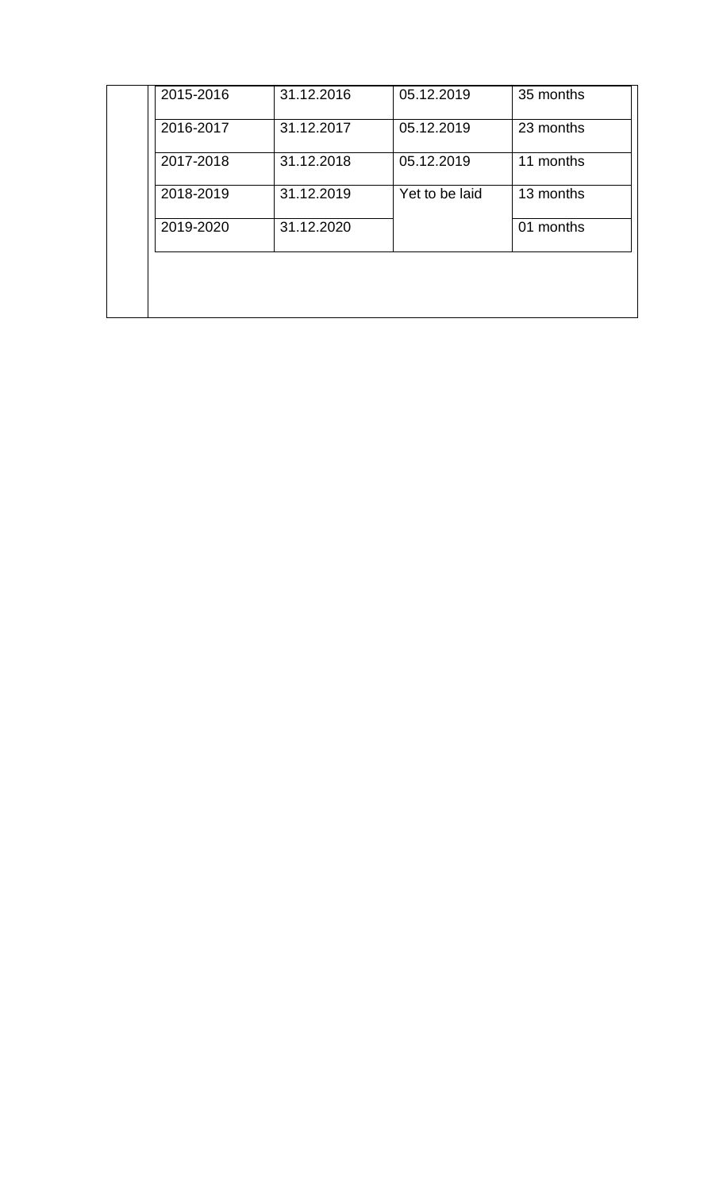| 2015-2016 | 31.12.2016 | 05.12.2019     | 35 months |
|-----------|------------|----------------|-----------|
| 2016-2017 | 31.12.2017 | 05.12.2019     | 23 months |
| 2017-2018 | 31.12.2018 | 05.12.2019     | 11 months |
| 2018-2019 | 31.12.2019 | Yet to be laid | 13 months |
| 2019-2020 | 31.12.2020 |                | 01 months |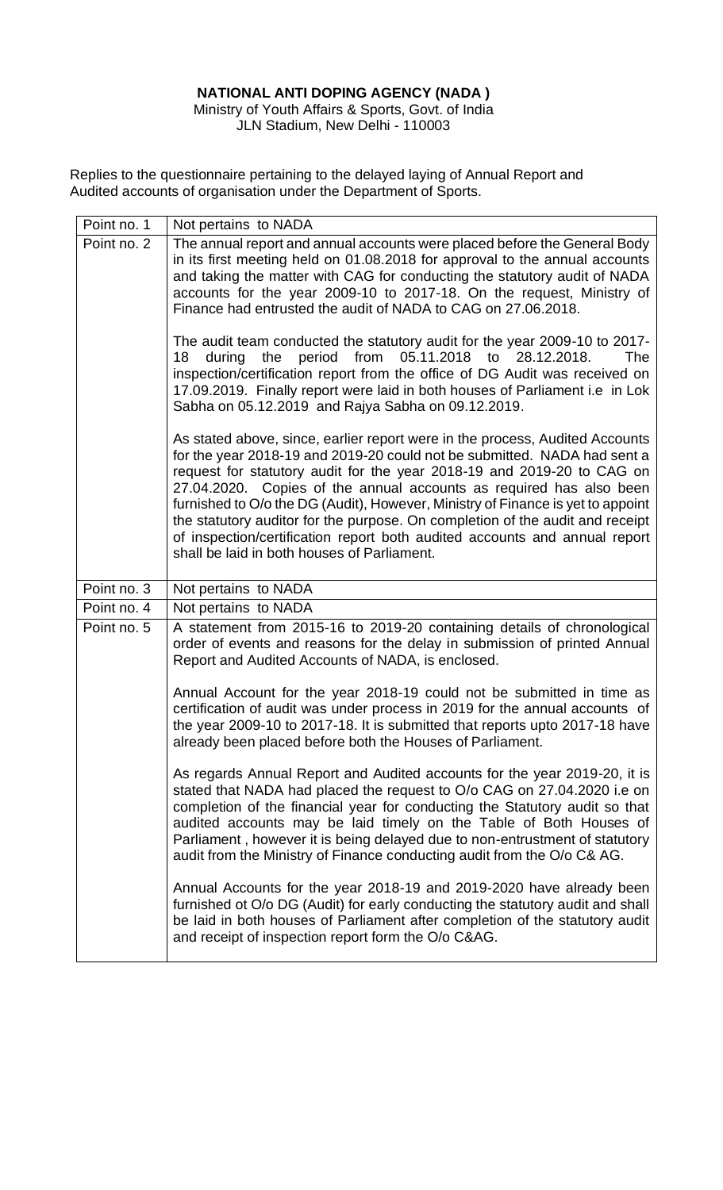### **NATIONAL ANTI DOPING AGENCY (NADA )**

Ministry of Youth Affairs & Sports, Govt. of India JLN Stadium, New Delhi - 110003

Replies to the questionnaire pertaining to the delayed laying of Annual Report and Audited accounts of organisation under the Department of Sports.

| Point no. 1 | Not pertains to NADA                                                                                                                                                                                                                                                                                                                                                                                                                                                                                                                                                                                       |
|-------------|------------------------------------------------------------------------------------------------------------------------------------------------------------------------------------------------------------------------------------------------------------------------------------------------------------------------------------------------------------------------------------------------------------------------------------------------------------------------------------------------------------------------------------------------------------------------------------------------------------|
| Point no. 2 | The annual report and annual accounts were placed before the General Body<br>in its first meeting held on 01.08.2018 for approval to the annual accounts<br>and taking the matter with CAG for conducting the statutory audit of NADA<br>accounts for the year 2009-10 to 2017-18. On the request, Ministry of<br>Finance had entrusted the audit of NADA to CAG on 27.06.2018.                                                                                                                                                                                                                            |
|             | The audit team conducted the statutory audit for the year 2009-10 to 2017-<br>from<br>05.11.2018<br>period<br>to<br>28.12.2018.<br>18<br>during<br>the<br><b>The</b><br>inspection/certification report from the office of DG Audit was received on<br>17.09.2019. Finally report were laid in both houses of Parliament i.e in Lok<br>Sabha on 05.12.2019 and Rajya Sabha on 09.12.2019.                                                                                                                                                                                                                  |
|             | As stated above, since, earlier report were in the process, Audited Accounts<br>for the year 2018-19 and 2019-20 could not be submitted. NADA had sent a<br>request for statutory audit for the year 2018-19 and 2019-20 to CAG on<br>27.04.2020. Copies of the annual accounts as required has also been<br>furnished to O/o the DG (Audit), However, Ministry of Finance is yet to appoint<br>the statutory auditor for the purpose. On completion of the audit and receipt<br>of inspection/certification report both audited accounts and annual report<br>shall be laid in both houses of Parliament. |
| Point no. 3 | Not pertains to NADA                                                                                                                                                                                                                                                                                                                                                                                                                                                                                                                                                                                       |
| Point no. 4 | Not pertains to NADA                                                                                                                                                                                                                                                                                                                                                                                                                                                                                                                                                                                       |
| Point no. 5 | A statement from 2015-16 to 2019-20 containing details of chronological<br>order of events and reasons for the delay in submission of printed Annual<br>Report and Audited Accounts of NADA, is enclosed.                                                                                                                                                                                                                                                                                                                                                                                                  |
|             | Annual Account for the year 2018-19 could not be submitted in time as<br>certification of audit was under process in 2019 for the annual accounts of<br>the year 2009-10 to 2017-18. It is submitted that reports upto 2017-18 have<br>already been placed before both the Houses of Parliament.                                                                                                                                                                                                                                                                                                           |
|             | As regards Annual Report and Audited accounts for the year 2019-20, it is<br>stated that NADA had placed the request to O/o CAG on 27.04.2020 i.e on<br>completion of the financial year for conducting the Statutory audit so that<br>audited accounts may be laid timely on the Table of Both Houses of<br>Parliament, however it is being delayed due to non-entrustment of statutory<br>audit from the Ministry of Finance conducting audit from the O/o C& AG.                                                                                                                                        |
|             | Annual Accounts for the year 2018-19 and 2019-2020 have already been<br>furnished ot O/o DG (Audit) for early conducting the statutory audit and shall<br>be laid in both houses of Parliament after completion of the statutory audit<br>and receipt of inspection report form the O/o C&AG.                                                                                                                                                                                                                                                                                                              |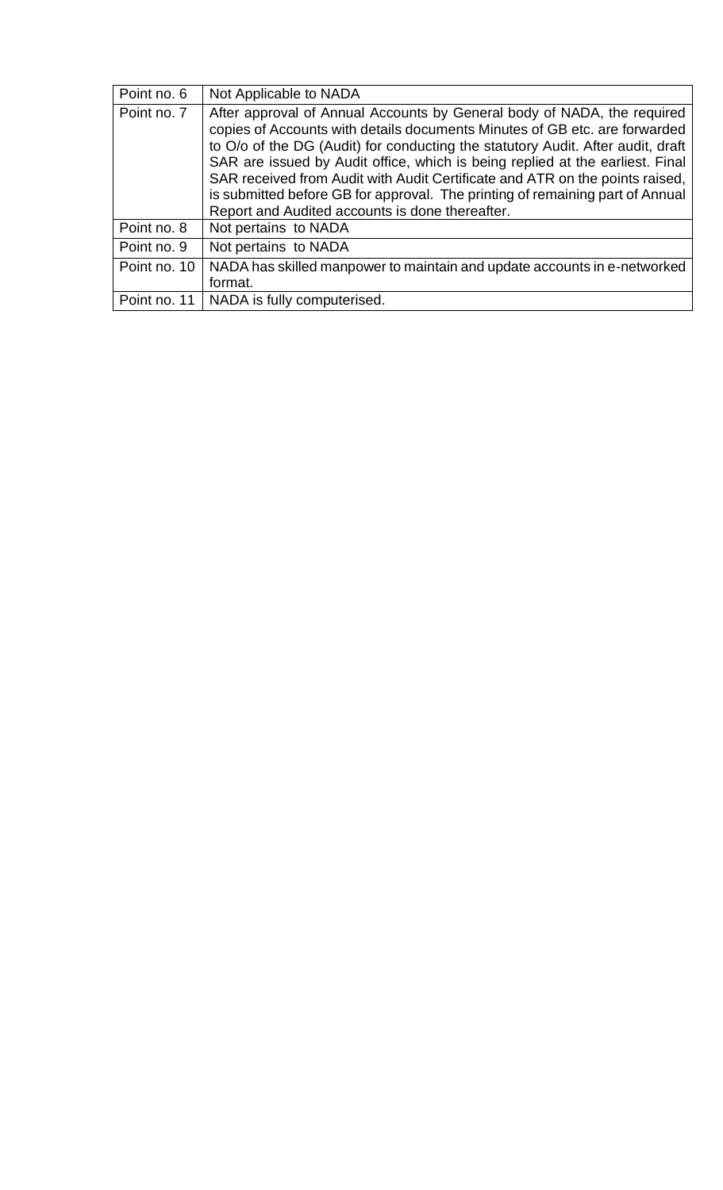| Point no. 6  | Not Applicable to NADA                                                                                                                                                                                                                                                                                                                                                                                                                                                                                                                        |
|--------------|-----------------------------------------------------------------------------------------------------------------------------------------------------------------------------------------------------------------------------------------------------------------------------------------------------------------------------------------------------------------------------------------------------------------------------------------------------------------------------------------------------------------------------------------------|
| Point no. 7  | After approval of Annual Accounts by General body of NADA, the required<br>copies of Accounts with details documents Minutes of GB etc. are forwarded<br>to O/o of the DG (Audit) for conducting the statutory Audit. After audit, draft<br>SAR are issued by Audit office, which is being replied at the earliest. Final<br>SAR received from Audit with Audit Certificate and ATR on the points raised,<br>is submitted before GB for approval. The printing of remaining part of Annual<br>Report and Audited accounts is done thereafter. |
| Point no. 8  | Not pertains to NADA                                                                                                                                                                                                                                                                                                                                                                                                                                                                                                                          |
| Point no. 9  | Not pertains to NADA                                                                                                                                                                                                                                                                                                                                                                                                                                                                                                                          |
| Point no. 10 | NADA has skilled manpower to maintain and update accounts in e-networked<br>format.                                                                                                                                                                                                                                                                                                                                                                                                                                                           |
| Point no. 11 | NADA is fully computerised.                                                                                                                                                                                                                                                                                                                                                                                                                                                                                                                   |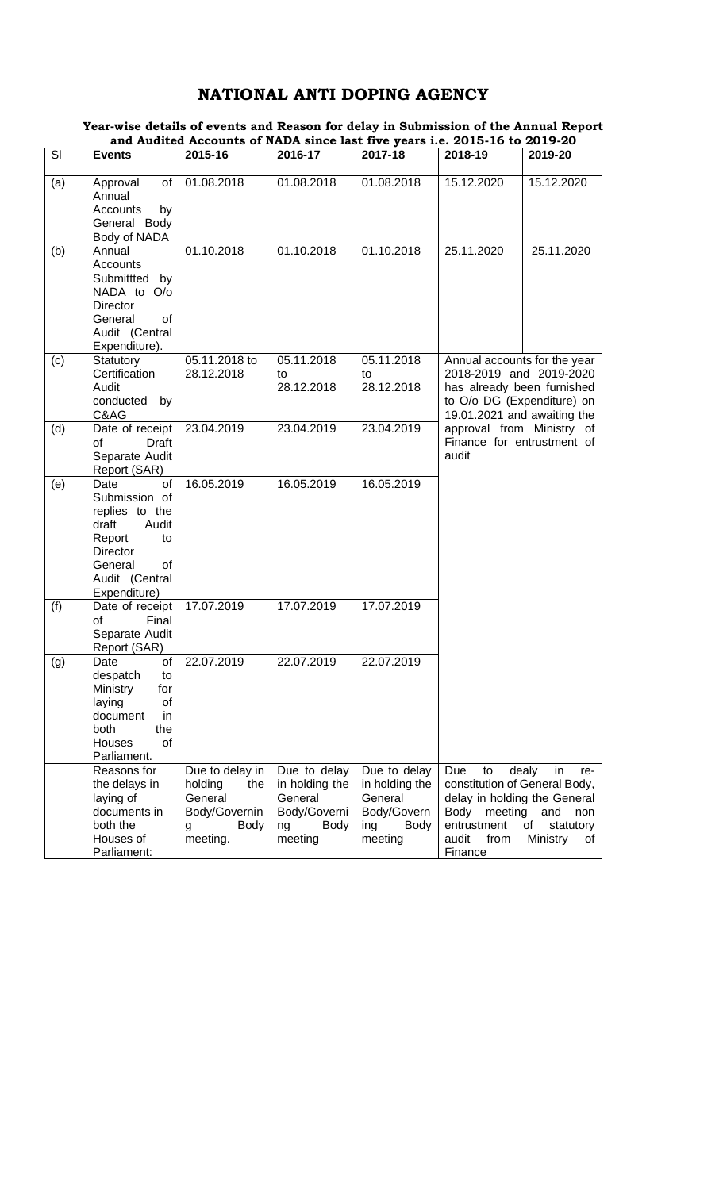## **NATIONAL ANTI DOPING AGENCY**

|     |                                                                                                                                                | and Audited Accounts of NADA since last five years i.e. 2015-16 to 2019-20                    |                                                                                           |                                                                                    |                                                                                                                                                                                                                        |                                                                       |
|-----|------------------------------------------------------------------------------------------------------------------------------------------------|-----------------------------------------------------------------------------------------------|-------------------------------------------------------------------------------------------|------------------------------------------------------------------------------------|------------------------------------------------------------------------------------------------------------------------------------------------------------------------------------------------------------------------|-----------------------------------------------------------------------|
| SI  | <b>Events</b>                                                                                                                                  | 2015-16                                                                                       | 2016-17                                                                                   | 2017-18                                                                            | 2018-19                                                                                                                                                                                                                | 2019-20                                                               |
| (a) | of<br>Approval<br>Annual<br>Accounts<br>by<br>General Body<br>Body of NADA                                                                     | 01.08.2018                                                                                    | 01.08.2018                                                                                | 01.08.2018                                                                         | 15.12.2020                                                                                                                                                                                                             | 15.12.2020                                                            |
| (b) | Annual<br><b>Accounts</b><br>Submitted by<br>NADA to O/o<br><b>Director</b><br>General<br>of<br>Audit (Central<br>Expenditure).                | 01.10.2018                                                                                    | 01.10.2018                                                                                | 01.10.2018                                                                         | 25.11.2020                                                                                                                                                                                                             | 25.11.2020                                                            |
| (c) | Statutory<br>Certification<br>Audit<br>conducted<br>by<br>C&AG                                                                                 | 05.11.2018 to<br>28.12.2018                                                                   | 05.11.2018<br>to<br>28.12.2018                                                            | 05.11.2018<br>to<br>28.12.2018                                                     | Annual accounts for the year<br>2018-2019 and 2019-2020<br>has already been furnished<br>to O/o DG (Expenditure) on<br>19.01.2021 and awaiting the<br>approval from Ministry of<br>Finance for entrustment of<br>audit |                                                                       |
| (d) | Date of receipt<br>of<br><b>Draft</b><br>Separate Audit<br>Report (SAR)                                                                        | 23.04.2019                                                                                    | 23.04.2019                                                                                | 23.04.2019                                                                         |                                                                                                                                                                                                                        |                                                                       |
| (e) | of<br>Date<br>Submission of<br>replies to the<br>draft<br>Audit<br>Report<br>to<br>Director<br>of<br>General<br>Audit (Central<br>Expenditure) | 16.05.2019                                                                                    | 16.05.2019                                                                                | 16.05.2019                                                                         |                                                                                                                                                                                                                        |                                                                       |
| (f) | Date of receipt<br>of<br>Final<br>Separate Audit<br>Report (SAR)                                                                               | 17.07.2019                                                                                    | 17.07.2019                                                                                | 17.07.2019                                                                         |                                                                                                                                                                                                                        |                                                                       |
| (g) | of<br>Date<br>despatch<br>to<br>Ministry<br>for<br>of<br>laying<br>document<br>in<br>both<br>the<br>of<br>Houses<br>Parliament.                | 22.07.2019                                                                                    | 22.07.2019                                                                                | 22.07.2019                                                                         |                                                                                                                                                                                                                        |                                                                       |
|     | Reasons for<br>the delays in<br>laying of<br>documents in<br>both the<br>Houses of<br>Parliament:                                              | Due to delay in<br>holding<br>the<br>General<br>Body/Governin<br><b>Body</b><br>g<br>meeting. | Due to delay<br>in holding the<br>General<br>Body/Governi<br><b>Body</b><br>ng<br>meeting | Due to delay<br>in holding the<br>General<br>Body/Govern<br>ing<br>Body<br>meeting | Due<br>to<br>constitution of General Body,<br>delay in holding the General<br>Body<br>meeting<br>entrustment<br>audit<br>from<br>Finance                                                                               | dealy<br>in<br>re-<br>and<br>non<br>of<br>statutory<br>Ministry<br>of |

#### **Year-wise details of events and Reason for delay in Submission of the Annual Report and Audited Accounts of NADA since last five years i.e. 2015-16 to 2019-20**